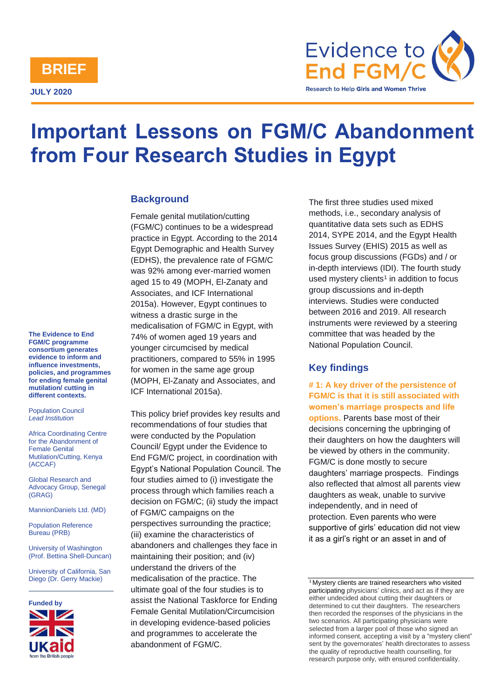

**JULY 2020**



# **Important Lessons on FGM/C Abandonment from Four Research Studies in Egypt**

# **Background**

Female genital mutilation/cutting (FGM/C) continues to be a widespread practice in Egypt. According to the 2014 Egypt Demographic and Health Survey (EDHS), the prevalence rate of FGM/C was 92% among ever-married women aged 15 to 49 (MOPH, El-Zanaty and Associates, and ICF International 2015a). However, Egypt continues to witness a drastic surge in the medicalisation of FGM/C in Egypt, with 74% of women aged 19 years and younger circumcised by medical practitioners, compared to 55% in 1995 for women in the same age group (MOPH, El-Zanaty and Associates, and ICF International 2015a).

This policy brief provides key results and recommendations of four studies that were conducted by the Population Council/ Egypt under the Evidence to End FGM/C project, in coordination with Egypt's National Population Council. The four studies aimed to (i) investigate the process through which families reach a decision on FGM/C; (ii) study the impact of FGM/C campaigns on the perspectives surrounding the practice; (iii) examine the characteristics of abandoners and challenges they face in maintaining their position; and (iv) understand the drivers of the medicalisation of the practice. The ultimate goal of the four studies is to assist the National Taskforce for Ending Female Genital Mutilation/Circumcision in developing evidence-based policies and programmes to accelerate the abandonment of FGM/C.

The first three studies used mixed methods, i.e., secondary analysis of quantitative data sets such as EDHS 2014, SYPE 2014, and the Egypt Health Issues Survey (EHIS) 2015 as well as focus group discussions (FGDs) and / or in-depth interviews (IDI). The fourth study used mystery clients<sup>1</sup> in addition to focus group discussions and in-depth interviews. Studies were conducted between 2016 and 2019. All research instruments were reviewed by a steering committee that was headed by the National Population Council.

# **Key findings**

**# 1: A key driver of the persistence of FGM/C is that it is still associated with women's marriage prospects and life options.** Parents base most of their decisions concerning the upbringing of their daughters on how the daughters will be viewed by others in the community. FGM/C is done mostly to secure daughters' marriage prospects. Findings also reflected that almost all parents view daughters as weak, unable to survive independently, and in need of protection. Even parents who were supportive of girls' education did not view it as a girl's right or an asset in and of

**The Evidence to End FGM/C programme consortium generates evidence to inform and influence investments, policies, and programmes for ending female genital mutilation/ cutting in different contexts.** 

Population Council *Lead Institution*

Africa Coordinating Centre for the Abandonment of Female Genital Mutilation/Cutting, Kenya (ACCAF)

Global Research and Advocacy Group, Senegal (GRAG)

MannionDaniels Ltd. (MD)

Population Reference Bureau (PRB)

University of Washington (Prof. Bettina Shell-Duncan)

University of California, San Diego (Dr. Gerry Mackie)



<sup>&</sup>lt;sup>1</sup> Mystery clients are trained researchers who visited participating physicians' clinics, and act as if they are either undecided about cutting their daughters or determined to cut their daughters. The researchers then recorded the responses of the physicians in the two scenarios. All participating physicians were selected from a larger pool of those who signed an informed consent, accepting a visit by a "mystery client" sent by the governorates' health directorates to assess the quality of reproductive health counselling, for research purpose only, with ensured confidentiality.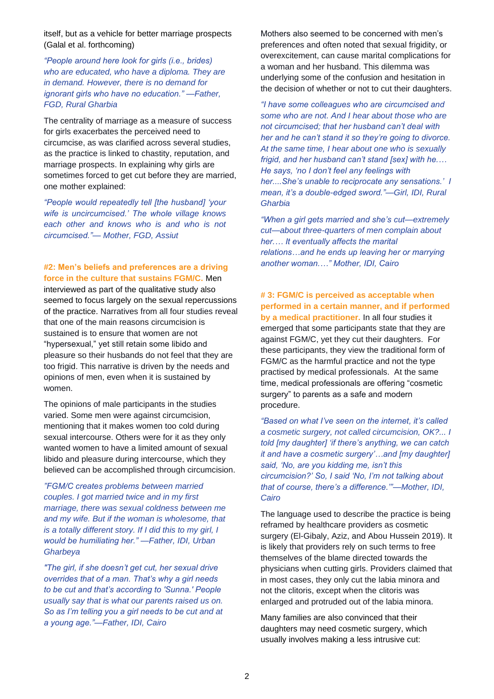itself, but as a vehicle for better marriage prospects (Galal et al. forthcoming)

*"People around here look for girls (i.e., brides) who are educated, who have a diploma. They are in demand. However, there is no demand for ignorant girls who have no education." —Father, FGD, Rural Gharbia*

The centrality of marriage as a measure of success for girls exacerbates the perceived need to circumcise, as was clarified across several studies, as the practice is linked to chastity, reputation, and marriage prospects. In explaining why girls are sometimes forced to get cut before they are married, one mother explained:

*"People would repeatedly tell [the husband] 'your wife is uncircumcised.' The whole village knows each other and knows who is and who is not circumcised."— Mother, FGD, Assiut*

#### **#2: Men's beliefs and preferences are a driving force in the culture that sustains FGM/C.** Men

interviewed as part of the qualitative study also seemed to focus largely on the sexual repercussions of the practice. Narratives from all four studies reveal that one of the main reasons circumcision is sustained is to ensure that women are not "hypersexual," yet still retain some libido and pleasure so their husbands do not feel that they are too frigid. This narrative is driven by the needs and opinions of men, even when it is sustained by women.

The opinions of male participants in the studies varied. Some men were against circumcision, mentioning that it makes women too cold during sexual intercourse. Others were for it as they only wanted women to have a limited amount of sexual libido and pleasure during intercourse, which they believed can be accomplished through circumcision.

*"FGM/C creates problems between married couples. I got married twice and in my first marriage, there was sexual coldness between me and my wife. But if the woman is wholesome, that is a totally different story. If I did this to my girl, I would be humiliating her." —Father, IDI, Urban Gharbeya*

*"The girl, if she doesn't get cut, her sexual drive overrides that of a man. That's why a girl needs to be cut and that's according to 'Sunna.' People usually say that is what our parents raised us on. So as I'm telling you a girl needs to be cut and at a young age."—Father, IDI, Cairo*

Mothers also seemed to be concerned with men's preferences and often noted that sexual frigidity, or overexcitement, can cause marital complications for a woman and her husband. This dilemma was underlying some of the confusion and hesitation in the decision of whether or not to cut their daughters.

*"I have some colleagues who are circumcised and some who are not. And I hear about those who are not circumcised; that her husband can't deal with her and he can't stand it so they're going to divorce. At the same time, I hear about one who is sexually frigid, and her husband can't stand [sex] with he.… He says, 'no I don't feel any feelings with her....She's unable to reciprocate any sensations.' I mean, it's a double-edged sword."—Girl, IDI, Rural Gharbia*

*"When a girl gets married and she's cut—extremely cut—about three-quarters of men complain about her.… It eventually affects the marital relations…and he ends up leaving her or marrying another woman.…" Mother, IDI, Cairo*

#### **# 3: FGM/C is perceived as acceptable when performed in a certain manner, and if performed by a medical practitioner.** In all four studies it

emerged that some participants state that they are against FGM/C, yet they cut their daughters. For these participants, they view the traditional form of FGM/C as the harmful practice and not the type practised by medical professionals. At the same time, medical professionals are offering "cosmetic surgery" to parents as a safe and modern procedure.

*"Based on what I've seen on the internet, it's called a cosmetic surgery, not called circumcision, OK?... I told [my daughter] 'if there's anything, we can catch it and have a cosmetic surgery'…and [my daughter] said, 'No, are you kidding me, isn't this circumcision?' So, I said 'No, I'm not talking about that of course, there's a difference.'"—Mother, IDI, Cairo*

The language used to describe the practice is being reframed by healthcare providers as cosmetic surgery (El-Gibaly, Aziz, and Abou Hussein 2019). It is likely that providers rely on such terms to free themselves of the blame directed towards the physicians when cutting girls. Providers claimed that in most cases, they only cut the labia minora and not the clitoris, except when the clitoris was enlarged and protruded out of the labia minora.

Many families are also convinced that their daughters may need cosmetic surgery, which usually involves making a less intrusive cut: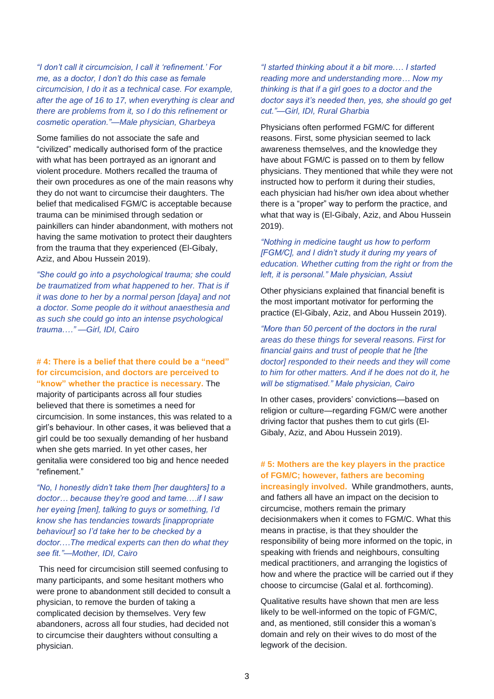*"I don't call it circumcision, I call it 'refinement.' For me, as a doctor, I don't do this case as female circumcision, I do it as a technical case. For example, after the age of 16 to 17, when everything is clear and there are problems from it, so I do this refinement or cosmetic operation."—Male physician, Gharbeya*

Some families do not associate the safe and "civilized" medically authorised form of the practice with what has been portrayed as an ignorant and violent procedure. Mothers recalled the trauma of their own procedures as one of the main reasons why they do not want to circumcise their daughters. The belief that medicalised FGM/C is acceptable because trauma can be minimised through sedation or painkillers can hinder abandonment, with mothers not having the same motivation to protect their daughters from the trauma that they experienced (El-Gibaly, Aziz, and Abou Hussein 2019).

*"She could go into a psychological trauma; she could be traumatized from what happened to her. That is if it was done to her by a normal person [daya] and not a doctor. Some people do it without anaesthesia and as such she could go into an intense psychological trauma.…" —Girl, IDI, Cairo*

#### **# 4: There is a belief that there could be a "need" for circumcision, and doctors are perceived to "know" whether the practice is necessary.** The

majority of participants across all four studies believed that there is sometimes a need for circumcision. In some instances, this was related to a girl's behaviour. In other cases, it was believed that a girl could be too sexually demanding of her husband when she gets married. In yet other cases, her genitalia were considered too big and hence needed "refinement."

*"No, I honestly didn't take them [her daughters] to a doctor… because they're good and tame.…if I saw her eyeing [men], talking to guys or something, I'd know she has tendancies towards [inappropriate behaviour] so I'd take her to be checked by a doctor.…The medical experts can then do what they see fit."—Mother, IDI, Cairo*

This need for circumcision still seemed confusing to many participants, and some hesitant mothers who were prone to abandonment still decided to consult a physician, to remove the burden of taking a complicated decision by themselves. Very few abandoners, across all four studies, had decided not to circumcise their daughters without consulting a physician.

*"I started thinking about it a bit more.… I started reading more and understanding more… Now my thinking is that if a girl goes to a doctor and the doctor says it's needed then, yes, she should go get cut."—Girl, IDI, Rural Gharbia*

Physicians often performed FGM/C for different reasons. First, some physician seemed to lack awareness themselves, and the knowledge they have about FGM/C is passed on to them by fellow physicians. They mentioned that while they were not instructed how to perform it during their studies, each physician had his/her own idea about whether there is a "proper" way to perform the practice, and what that way is (El-Gibaly, Aziz, and Abou Hussein 2019).

#### *"Nothing in medicine taught us how to perform [FGM/C], and I didn't study it during my years of education. Whether cutting from the right or from the left, it is personal." Male physician, Assiut*

Other physicians explained that financial benefit is the most important motivator for performing the practice (El-Gibaly, Aziz, and Abou Hussein 2019).

*"More than 50 percent of the doctors in the rural areas do these things for several reasons. First for financial gains and trust of people that he [the doctor] responded to their needs and they will come to him for other matters. And if he does not do it, he will be stigmatised." Male physician, Cairo*

In other cases, providers' convictions*—*based on religion or culture*—*regarding FGM/C were another driving factor that pushes them to cut girls (El-Gibaly, Aziz, and Abou Hussein 2019).

### **# 5: Mothers are the key players in the practice of FGM/C; however, fathers are becoming**

**increasingly involved.** While grandmothers, aunts, and fathers all have an impact on the decision to circumcise, mothers remain the primary decisionmakers when it comes to FGM/C. What this means in practise, is that they shoulder the responsibility of being more informed on the topic, in speaking with friends and neighbours, consulting medical practitioners, and arranging the logistics of how and where the practice will be carried out if they choose to circumcise (Galal et al. forthcoming).

Qualitative results have shown that men are less likely to be well-informed on the topic of FGM/C, and, as mentioned, still consider this a woman's domain and rely on their wives to do most of the legwork of the decision.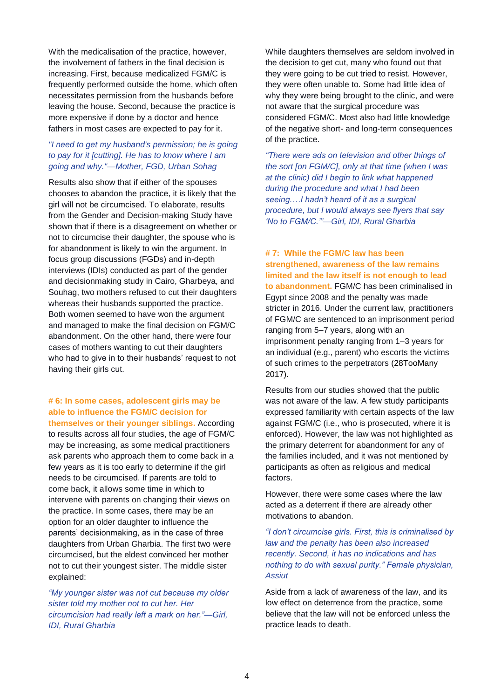With the medicalisation of the practice, however, the involvement of fathers in the final decision is increasing. First, because medicalized FGM/C is frequently performed outside the home, which often necessitates permission from the husbands before leaving the house. Second, because the practice is more expensive if done by a doctor and hence fathers in most cases are expected to pay for it.

### *"I need to get my husband's permission; he is going to pay for it [cutting]. He has to know where I am going and why."—Mother, FGD, Urban Sohag*

Results also show that if either of the spouses chooses to abandon the practice, it is likely that the girl will not be circumcised. To elaborate, results from the Gender and Decision-making Study have shown that if there is a disagreement on whether or not to circumcise their daughter, the spouse who is for abandonment is likely to win the argument. In focus group discussions (FGDs) and in-depth interviews (IDIs) conducted as part of the gender and decisionmaking study in Cairo, Gharbeya, and Souhag, two mothers refused to cut their daughters whereas their husbands supported the practice. Both women seemed to have won the argument and managed to make the final decision on FGM/C abandonment. On the other hand, there were four cases of mothers wanting to cut their daughters who had to give in to their husbands' request to not having their girls cut.

**# 6: In some cases, adolescent girls may be able to influence the FGM/C decision for themselves or their younger siblings.** According

to results across all four studies, the age of FGM/C may be increasing, as some medical practitioners ask parents who approach them to come back in a few years as it is too early to determine if the girl needs to be circumcised. If parents are told to come back, it allows some time in which to intervene with parents on changing their views on the practice. In some cases, there may be an option for an older daughter to influence the parents' decisionmaking, as in the case of three daughters from Urban Gharbia. The first two were circumcised, but the eldest convinced her mother not to cut their youngest sister. The middle sister explained:

*"My younger sister was not cut because my older sister told my mother not to cut her. Her circumcision had really left a mark on her."—Girl, IDI, Rural Gharbia*

While daughters themselves are seldom involved in the decision to get cut, many who found out that they were going to be cut tried to resist. However, they were often unable to. Some had little idea of why they were being brought to the clinic, and were not aware that the surgical procedure was considered FGM/C. Most also had little knowledge of the negative short- and long-term consequences of the practice.

*"There were ads on television and other things of the sort [on FGM/C], only at that time (when I was at the clinic) did I begin to link what happened during the procedure and what I had been seeing.…I hadn't heard of it as a surgical procedure, but I would always see flyers that say 'No to FGM/C.'"—Girl, IDI, Rural Gharbia*

**# 7: While the FGM/C law has been strengthened, awareness of the law remains limited and the law itself is not enough to lead to abandonment.** FGM/C has been criminalised in Egypt since 2008 and the penalty was made stricter in 2016. Under the current law, practitioners of FGM/C are sentenced to an imprisonment period ranging from 5–7 years, along with an imprisonment penalty ranging from 1–3 years for an individual (e.g., parent) who escorts the victims of such crimes to the perpetrators (28TooMany 2017).

Results from our studies showed that the public was not aware of the law. A few study participants expressed familiarity with certain aspects of the law against FGM/C (i.e., who is prosecuted, where it is enforced). However, the law was not highlighted as the primary deterrent for abandonment for any of the families included, and it was not mentioned by participants as often as religious and medical factors.

However, there were some cases where the law acted as a deterrent if there are already other motivations to abandon.

*"I don't circumcise girls. First, this is criminalised by law and the penalty has been also increased recently. Second, it has no indications and has nothing to do with sexual purity." Female physician, Assiut*

Aside from a lack of awareness of the law, and its low effect on deterrence from the practice, some believe that the law will not be enforced unless the practice leads to death.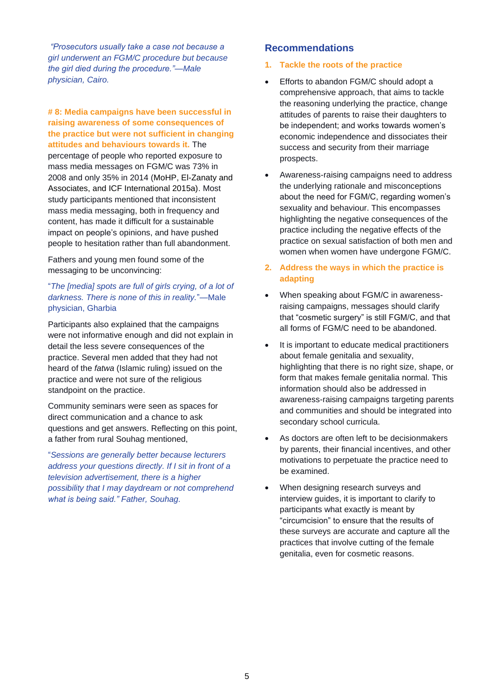*"Prosecutors usually take a case not because a girl underwent an FGM/C procedure but because the girl died during the procedure."—Male physician, Cairo.*

#### **# 8: Media campaigns have been successful in raising awareness of some consequences of the practice but were not sufficient in changing attitudes and behaviours towards it.** The

percentage of people who reported exposure to mass media messages on FGM/C was 73% in 2008 and only 35% in 2014 (MoHP, El-Zanaty and Associates, and ICF International 2015a). Most study participants mentioned that inconsistent mass media messaging, both in frequency and content, has made it difficult for a sustainable impact on people's opinions, and have pushed people to hesitation rather than full abandonment.

Fathers and young men found some of the messaging to be unconvincing:

#### "*The [media] spots are full of girls crying, of a lot of darkness. There is none of this in reality.*"—Male physician, Gharbia

Participants also explained that the campaigns were not informative enough and did not explain in detail the less severe consequences of the practice. Several men added that they had not heard of the *fatwa* (Islamic ruling) issued on the practice and were not sure of the religious standpoint on the practice.

Community seminars were seen as spaces for direct communication and a chance to ask questions and get answers. Reflecting on this point, a father from rural Souhag mentioned,

"*Sessions are generally better because lecturers address your questions directly. If I sit in front of a television advertisement, there is a higher possibility that I may daydream or not comprehend what is being said." Father, Souhag.*

# **Recommendations**

#### **1. Tackle the roots of the practice**

- Efforts to abandon FGM/C should adopt a comprehensive approach, that aims to tackle the reasoning underlying the practice, change attitudes of parents to raise their daughters to be independent; and works towards women's economic independence and dissociates their success and security from their marriage prospects.
- Awareness-raising campaigns need to address the underlying rationale and misconceptions about the need for FGM/C, regarding women's sexuality and behaviour. This encompasses highlighting the negative consequences of the practice including the negative effects of the practice on sexual satisfaction of both men and women when women have undergone FGM/C.
- **2. Address the ways in which the practice is adapting**
- When speaking about FGM/C in awarenessraising campaigns, messages should clarify that "cosmetic surgery" is still FGM/C, and that all forms of FGM/C need to be abandoned.
- It is important to educate medical practitioners about female genitalia and sexuality, highlighting that there is no right size, shape, or form that makes female genitalia normal. This information should also be addressed in awareness-raising campaigns targeting parents and communities and should be integrated into secondary school curricula.
- As doctors are often left to be decisionmakers by parents, their financial incentives, and other motivations to perpetuate the practice need to be examined.
- When designing research surveys and interview guides, it is important to clarify to participants what exactly is meant by "circumcision" to ensure that the results of these surveys are accurate and capture all the practices that involve cutting of the female genitalia, even for cosmetic reasons.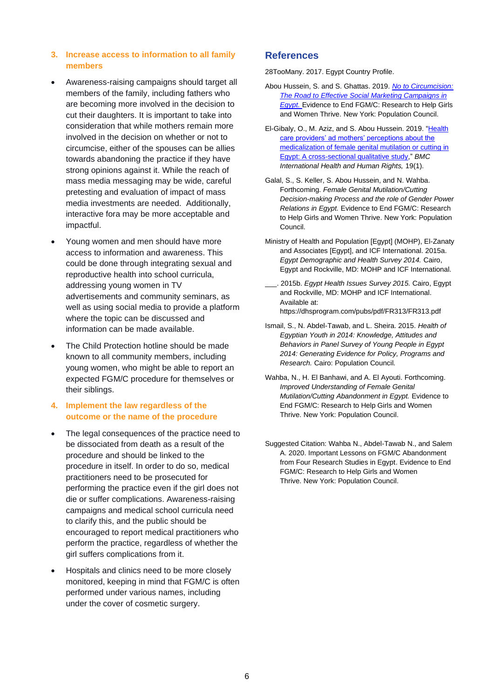#### **3. Increase access to information to all family members**

- Awareness-raising campaigns should target all members of the family, including fathers who are becoming more involved in the decision to cut their daughters. It is important to take into consideration that while mothers remain more involved in the decision on whether or not to circumcise, either of the spouses can be allies towards abandoning the practice if they have strong opinions against it. While the reach of mass media messaging may be wide, careful pretesting and evaluation of impact of mass media investments are needed. Additionally, interactive fora may be more acceptable and impactful.
- Young women and men should have more access to information and awareness. This could be done through integrating sexual and reproductive health into school curricula, addressing young women in TV advertisements and community seminars, as well as using social media to provide a platform where the topic can be discussed and information can be made available.
- The Child Protection hotline should be made known to all community members, including young women, who might be able to report an expected FGM/C procedure for themselves or their siblings.

#### **4. Implement the law regardless of the outcome or the name of the procedure**

- The legal consequences of the practice need to be dissociated from death as a result of the procedure and should be linked to the procedure in itself. In order to do so, medical practitioners need to be prosecuted for performing the practice even if the girl does not die or suffer complications. Awareness-raising campaigns and medical school curricula need to clarify this, and the public should be encouraged to report medical practitioners who perform the practice, regardless of whether the girl suffers complications from it.
- Hospitals and clinics need to be more closely monitored, keeping in mind that FGM/C is often performed under various names, including under the cover of cosmetic surgery.

#### **References**

28TooMany. 2017. Egypt Country Profile.

- Abou Hussein, S. and S. Ghattas. 2019. *[No to Circumcision:](https://www.popcouncil.org/uploads/pdfs/2019RH_FGMC-SocialMarketingEgypt.pdf)  [The Road to Effective Social Marketing Campaigns in](https://www.popcouncil.org/uploads/pdfs/2019RH_FGMC-SocialMarketingEgypt.pdf)  [Egypt.](https://www.popcouncil.org/uploads/pdfs/2019RH_FGMC-SocialMarketingEgypt.pdf)* Evidence to End FGM/C: Research to Help Girls and Women Thrive. New York: Population Council.
- El-Gibaly, O., M. Aziz, and S. Abou Hussein. 2019. ["Health](https://bmcinthealthhumrights.biomedcentral.com/articles/10.1186/s12914-019-0202-x)  [care providers' ad mothers' perceptions about the](https://bmcinthealthhumrights.biomedcentral.com/articles/10.1186/s12914-019-0202-x)  [medicalization of female genital mutilation or cutting in](https://bmcinthealthhumrights.biomedcentral.com/articles/10.1186/s12914-019-0202-x)  [Egypt: A cross-sectional qualitative study,](https://bmcinthealthhumrights.biomedcentral.com/articles/10.1186/s12914-019-0202-x)" *BMC International Health and Human Rights,* 19(1).
- Galal, S., S. Keller, S. Abou Hussein, and N. Wahba. Forthcoming. *Female Genital Mutilation/Cutting Decision-making Process and the role of Gender Power Relations in Egypt.* Evidence to End FGM/C: Research to Help Girls and Women Thrive. New York: Population Council.
- Ministry of Health and Population [Egypt] (MOHP), El-Zanaty and Associates [Egypt], and ICF International. 2015a. *Egypt Demographic and Health Survey 2014.* Cairo, Egypt and Rockville, MD: MOHP and ICF International.
- \_\_\_. 2015b. *Egypt Health Issues Survey 2015.* Cairo, Egypt and Rockville, MD: MOHP and ICF International. Available at: https://dhsprogram.com/pubs/pdf/FR313/FR313.pdf
- Ismail, S., N. Abdel-Tawab, and L. Sheira. 2015. *Health of Egyptian Youth in 2014: Knowledge, Attitudes and Behaviors in Panel Survey of Young People in Egypt 2014: Generating Evidence for Policy, Programs and Research.* Cairo: Population Council.
- Wahba, N., H. El Banhawi, and A. El Ayouti. Forthcoming. *Improved Understanding of Female Genital Mutilation/Cutting Abandonment in Egypt.* Evidence to End FGM/C: Research to Help Girls and Women Thrive. New York: Population Council.
- Suggested Citation: Wahba N., Abdel-Tawab N., and Salem A. 2020. Important Lessons on FGM/C Abandonment from Four Research Studies in Egypt. Evidence to End FGM/C: Research to Help Girls and Women Thrive. New York: Population Council.